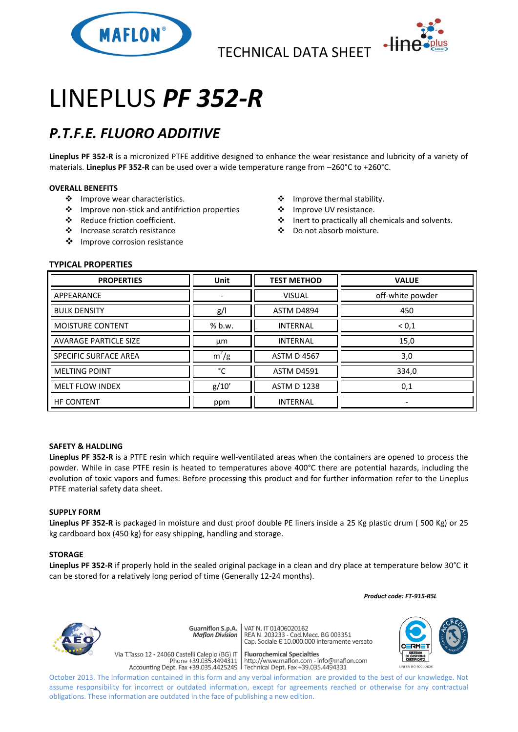

TECHNICAL DATA SHEET



# LINEPLUS *PF 352-R*

## *P.T.F.E. FLUORO ADDITIVE*

**Lineplus PF 352-R** is a micronized PTFE additive designed to enhance the wear resistance and lubricity of a variety of materials. **Lineplus PF 352-R** can be used over a wide temperature range from –260°C to +260°C.

#### **OVERALL BENEFITS**

- ❖ Improve wear characteristics.
- Improve non-stick and antifriction properties
- Reduce friction coefficient.
- Increase scratch resistance
- ❖ Improve corrosion resistance
- $\div$  Improve thermal stability.
- ❖ Improve UV resistance.
- Inert to practically all chemicals and solvents.
- Do not absorb moisture.

#### **TYPICAL PROPERTIES**

| <b>PROPERTIES</b>            | <b>Unit</b> | <b>TEST METHOD</b> | <b>VALUE</b>     |
|------------------------------|-------------|--------------------|------------------|
| APPEARANCE                   |             | <b>VISUAL</b>      | off-white powder |
| <b>BULK DENSITY</b>          | g/          | <b>ASTM D4894</b>  | 450              |
| <b>MOISTURE CONTENT</b>      | % b.w.      | <b>INTERNAL</b>    | ${}^{<}0,1$      |
| <b>AVARAGE PARTICLE SIZE</b> | μm          | <b>INTERNAL</b>    | 15,0             |
| <b>SPECIFIC SURFACE AREA</b> | $m^2/g$     | <b>ASTM D 4567</b> | 3,0              |
| <b>MELTING POINT</b>         | °C          | <b>ASTM D4591</b>  | 334,0            |
| <b>MELT FLOW INDEX</b>       | g/10'       | <b>ASTM D 1238</b> | 0,1              |
| <b>HF CONTENT</b>            | ppm         | <b>INTERNAL</b>    |                  |

#### **SAFETY & HALDLING**

**Lineplus PF 352-R** is a PTFE resin which require well-ventilated areas when the containers are opened to process the powder. While in case PTFE resin is heated to temperatures above 400°C there are potential hazards, including the evolution of toxic vapors and fumes. Before processing this product and for further information refer to the Lineplus PTFE material safety data sheet.

#### **SUPPLY FORM**

**Lineplus PF 352-R** is packaged in moisture and dust proof double PE liners inside a 25 Kg plastic drum ( 500 Kg) or 25 kg cardboard box (450 kg) for easy shipping, handling and storage.

#### **STORAGE**

**Lineplus PF 352-R** if properly hold in the sealed original package in a clean and dry place at temperature below 30°C it can be stored for a relatively long period of time (Generally 12-24 months).

 *Product code: FT-915-RSL*



**Guarniflon S.p.A. Maflon Division** 

Via T.Tasso 12 - 24060 Castelli Calepio (BG) IT

VAT N. IT 01406020162<br>REA N. 203233 - Cod.Mecc. BG 003351<br>Cap. Sociale E 10.000.000 interamente versato

**Fluorochemical Specialties** riasso 12 - 24060 Castelli Calepio (BG) i **confinite different dispectantes**<br>Phone +39.035.4494311 | http://www.maflon.com - info@maflon.com<br>Accounting Dept. Fax +39.035.4425249 | Technical Dept. Fax +39.035.4494331



October 2013. The Information contained in this form and any verbal information are provided to the best of our knowledge. Not assume responsibility for incorrect or outdated information, except for agreements reached or otherwise for any contractual obligations. These information are outdated in the face of publishing a new edition.